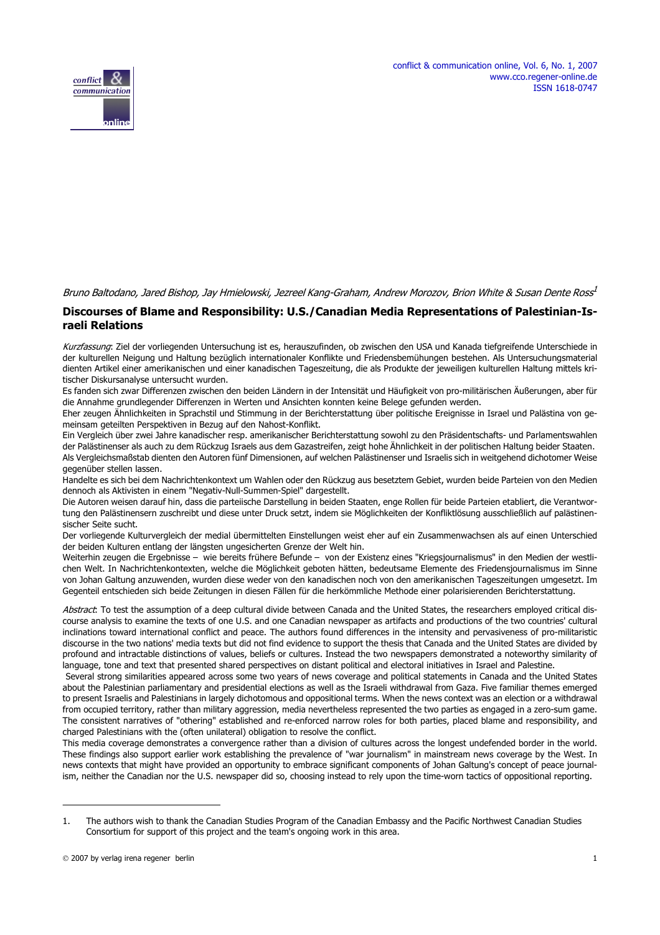



#### Bruno Baltodano, Jared Bishop, Jay Hmielowski, Jezreel Kang-Graham, Andrew Morozov, Brion White & Susan Dente Ross<sup>1</sup>

#### **Discourses of Blame and Responsibility: U.S./Canadian Media Representations of Palestinian-Israeli Relations**

Kurzfassung: Ziel der vorliegenden Untersuchung ist es, herauszufinden, ob zwischen den USA und Kanada tiefgreifende Unterschiede in der kulturellen Neigung und Haltung bezüglich internationaler Konflikte und Friedensbemühungen bestehen. Als Untersuchungsmaterial dienten Artikel einer amerikanischen und einer kanadischen Tageszeitung, die als Produkte der jeweiligen kulturellen Haltung mittels kritischer Diskursanalyse untersucht wurden.

Es fanden sich zwar Differenzen zwischen den beiden Ländern in der Intensität und Häufigkeit von pro-militärischen Äußerungen, aber für die Annahme grundlegender Differenzen in Werten und Ansichten konnten keine Belege gefunden werden.

Eher zeugen Ähnlichkeiten in Sprachstil und Stimmung in der Berichterstattung über politische Ereignisse in Israel und Palästina von gemeinsam geteilten Perspektiven in Bezug auf den Nahost-Konflikt.

Ein Vergleich über zwei Jahre kanadischer resp. amerikanischer Berichterstattung sowohl zu den Präsidentschafts- und Parlamentswahlen der Palästinenser als auch zu dem Rückzug Israels aus dem Gazastreifen, zeigt hohe Ähnlichkeit in der politischen Haltung beider Staaten. Als Vergleichsmaßstab dienten den Autoren fünf Dimensionen, auf welchen Palästinenser und Israelis sich in weitgehend dichotomer Weise gegenüber stellen lassen.

Handelte es sich bei dem Nachrichtenkontext um Wahlen oder den Rückzug aus besetztem Gebiet, wurden beide Parteien von den Medien dennoch als Aktivisten in einem "Negativ-Null-Summen-Spiel" dargestellt.

Die Autoren weisen darauf hin, dass die parteiische Darstellung in beiden Staaten, enge Rollen für beide Parteien etabliert, die Verantwortung den Palästinensern zuschreibt und diese unter Druck setzt, indem sie Möglichkeiten der Konfliktlösung ausschließlich auf palästinensischer Seite sucht.

Der vorliegende Kulturvergleich der medial übermittelten Einstellungen weist eher auf ein Zusammenwachsen als auf einen Unterschied der beiden Kulturen entlang der längsten ungesicherten Grenze der Welt hin.

Weiterhin zeugen die Ergebnisse – wie bereits frühere Befunde – von der Existenz eines "Kriegsjournalismus" in den Medien der westlichen Welt. In Nachrichtenkontexten, welche die Möglichkeit geboten hätten, bedeutsame Elemente des Friedensjournalismus im Sinne von Johan Galtung anzuwenden, wurden diese weder von den kanadischen noch von den amerikanischen Tageszeitungen umgesetzt. Im Gegenteil entschieden sich beide Zeitungen in diesen Fällen für die herkömmliche Methode einer polarisierenden Berichterstattung.

Abstract: To test the assumption of a deep cultural divide between Canada and the United States, the researchers employed critical discourse analysis to examine the texts of one U.S. and one Canadian newspaper as artifacts and productions of the two countries' cultural inclinations toward international conflict and peace. The authors found differences in the intensity and pervasiveness of pro-militaristic discourse in the two nations' media texts but did not find evidence to support the thesis that Canada and the United States are divided by profound and intractable distinctions of values, beliefs or cultures. Instead the two newspapers demonstrated a noteworthy similarity of language, tone and text that presented shared perspectives on distant political and electoral initiatives in Israel and Palestine.

 Several strong similarities appeared across some two years of news coverage and political statements in Canada and the United States about the Palestinian parliamentary and presidential elections as well as the Israeli withdrawal from Gaza. Five familiar themes emerged to present Israelis and Palestinians in largely dichotomous and oppositional terms. When the news context was an election or a withdrawal from occupied territory, rather than military aggression, media nevertheless represented the two parties as engaged in a zero-sum game. The consistent narratives of "othering" established and re-enforced narrow roles for both parties, placed blame and responsibility, and charged Palestinians with the (often unilateral) obligation to resolve the conflict.

This media coverage demonstrates a convergence rather than a division of cultures across the longest undefended border in the world. These findings also support earlier work establishing the prevalence of "war journalism" in mainstream news coverage by the West. In news contexts that might have provided an opportunity to embrace significant components of Johan Galtung's concept of peace journalism, neither the Canadian nor the U.S. newspaper did so, choosing instead to rely upon the time-worn tactics of oppositional reporting.

<sup>1.</sup> The authors wish to thank the Canadian Studies Program of the Canadian Embassy and the Pacific Northwest Canadian Studies Consortium for support of this project and the team's ongoing work in this area.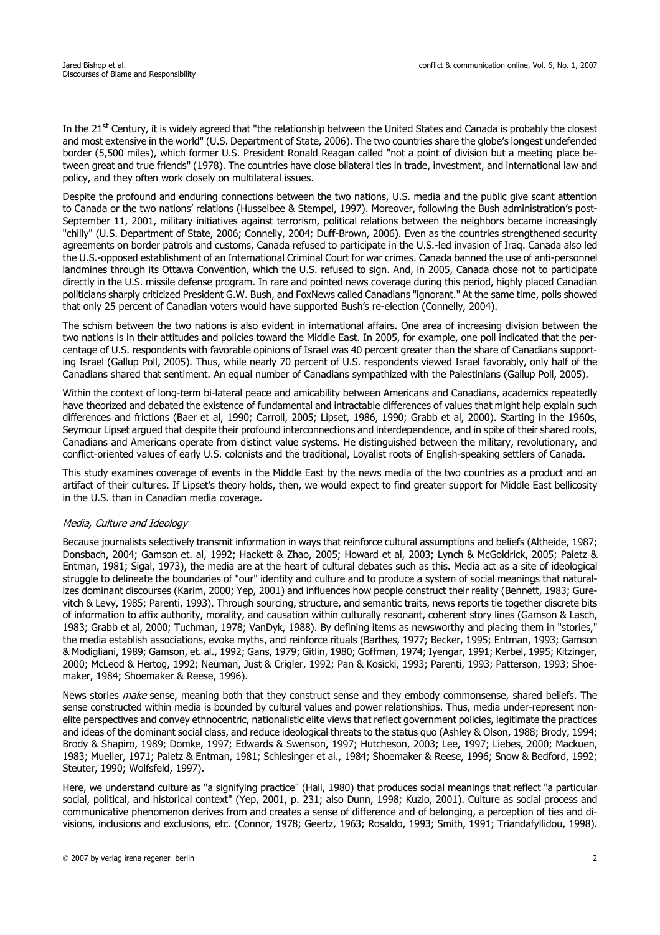In the 21<sup>st</sup> Century, it is widely agreed that "the relationship between the United States and Canada is probably the closest and most extensive in the world" (U.S. Department of State, 2006). The two countries share the globe's longest undefended border (5,500 miles), which former U.S. President Ronald Reagan called "not a point of division but a meeting place between great and true friends" (1978). The countries have close bilateral ties in trade, investment, and international law and policy, and they often work closely on multilateral issues.

Despite the profound and enduring connections between the two nations, U.S. media and the public give scant attention to Canada or the two nations' relations (Husselbee & Stempel, 1997). Moreover, following the Bush administration's post-September 11, 2001, military initiatives against terrorism, political relations between the neighbors became increasingly "chilly" (U.S. Department of State, 2006; Connelly, 2004; Duff-Brown, 2006). Even as the countries strengthened security agreements on border patrols and customs, Canada refused to participate in the U.S.-led invasion of Iraq. Canada also led the U.S.-opposed establishment of an International Criminal Court for war crimes. Canada banned the use of anti-personnel landmines through its Ottawa Convention, which the U.S. refused to sign. And, in 2005, Canada chose not to participate directly in the U.S. missile defense program. In rare and pointed news coverage during this period, highly placed Canadian politicians sharply criticized President G.W. Bush, and FoxNews called Canadians "ignorant." At the same time, polls showed that only 25 percent of Canadian voters would have supported Bush's re-election (Connelly, 2004).

The schism between the two nations is also evident in international affairs. One area of increasing division between the two nations is in their attitudes and policies toward the Middle East. In 2005, for example, one poll indicated that the percentage of U.S. respondents with favorable opinions of Israel was 40 percent greater than the share of Canadians supporting Israel (Gallup Poll, 2005). Thus, while nearly 70 percent of U.S. respondents viewed Israel favorably, only half of the Canadians shared that sentiment. An equal number of Canadians sympathized with the Palestinians (Gallup Poll, 2005).

Within the context of long-term bi-lateral peace and amicability between Americans and Canadians, academics repeatedly have theorized and debated the existence of fundamental and intractable differences of values that might help explain such differences and frictions (Baer et al, 1990; Carroll, 2005; Lipset, 1986, 1990; Grabb et al, 2000). Starting in the 1960s, Seymour Lipset argued that despite their profound interconnections and interdependence, and in spite of their shared roots, Canadians and Americans operate from distinct value systems. He distinguished between the military, revolutionary, and conflict-oriented values of early U.S. colonists and the traditional, Loyalist roots of English-speaking settlers of Canada.

This study examines coverage of events in the Middle East by the news media of the two countries as a product and an artifact of their cultures. If Lipset's theory holds, then, we would expect to find greater support for Middle East bellicosity in the U.S. than in Canadian media coverage.

# Media, Culture and Ideology

Because journalists selectively transmit information in ways that reinforce cultural assumptions and beliefs (Altheide, 1987; Donsbach, 2004; Gamson et. al, 1992; Hackett & Zhao, 2005; Howard et al, 2003; Lynch & McGoldrick, 2005; Paletz & Entman, 1981; Sigal, 1973), the media are at the heart of cultural debates such as this. Media act as a site of ideological struggle to delineate the boundaries of "our" identity and culture and to produce a system of social meanings that naturalizes dominant discourses (Karim, 2000; Yep, 2001) and influences how people construct their reality (Bennett, 1983; Gurevitch & Levy, 1985; Parenti, 1993). Through sourcing, structure, and semantic traits, news reports tie together discrete bits of information to affix authority, morality, and causation within culturally resonant, coherent story lines (Gamson & Lasch, 1983; Grabb et al, 2000; Tuchman, 1978; VanDyk, 1988). By defining items as newsworthy and placing them in "stories," the media establish associations, evoke myths, and reinforce rituals (Barthes, 1977; Becker, 1995; Entman, 1993; Gamson & Modigliani, 1989; Gamson, et. al., 1992; Gans, 1979; Gitlin, 1980; Goffman, 1974; Iyengar, 1991; Kerbel, 1995; Kitzinger, 2000; McLeod & Hertog, 1992; Neuman, Just & Crigler, 1992; Pan & Kosicki, 1993; Parenti, 1993; Patterson, 1993; Shoemaker, 1984; Shoemaker & Reese, 1996).

News stories *make* sense, meaning both that they construct sense and they embody commonsense, shared beliefs. The sense constructed within media is bounded by cultural values and power relationships. Thus, media under-represent nonelite perspectives and convey ethnocentric, nationalistic elite views that reflect government policies, legitimate the practices and ideas of the dominant social class, and reduce ideological threats to the status quo (Ashley & Olson, 1988; Brody, 1994; Brody & Shapiro, 1989; Domke, 1997; Edwards & Swenson, 1997; Hutcheson, 2003; Lee, 1997; Liebes, 2000; Mackuen, 1983; Mueller, 1971; Paletz & Entman, 1981; Schlesinger et al., 1984; Shoemaker & Reese, 1996; Snow & Bedford, 1992; Steuter, 1990; Wolfsfeld, 1997).

Here, we understand culture as "a signifying practice" (Hall, 1980) that produces social meanings that reflect "a particular social, political, and historical context" (Yep, 2001, p. 231; also Dunn, 1998; Kuzio, 2001). Culture as social process and communicative phenomenon derives from and creates a sense of difference and of belonging, a perception of ties and divisions, inclusions and exclusions, etc. (Connor, 1978; Geertz, 1963; Rosaldo, 1993; Smith, 1991; Triandafyllidou, 1998).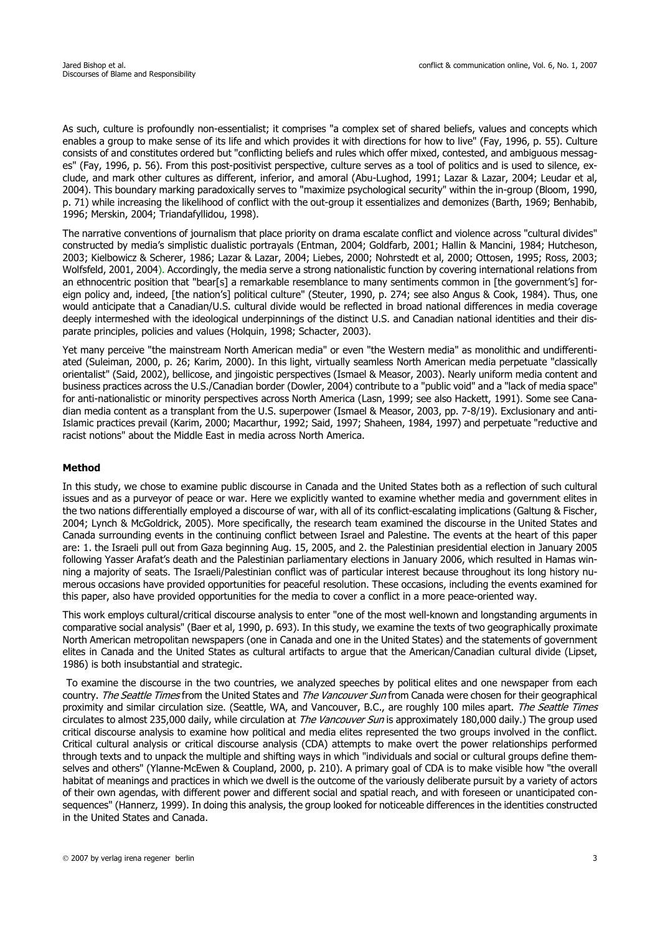As such, culture is profoundly non-essentialist; it comprises "a complex set of shared beliefs, values and concepts which enables a group to make sense of its life and which provides it with directions for how to live" (Fay, 1996, p. 55). Culture consists of and constitutes ordered but "conflicting beliefs and rules which offer mixed, contested, and ambiguous messages" (Fay, 1996, p. 56). From this post-positivist perspective, culture serves as a tool of politics and is used to silence, exclude, and mark other cultures as different, inferior, and amoral (Abu-Lughod, 1991; Lazar & Lazar, 2004; Leudar et al, 2004). This boundary marking paradoxically serves to "maximize psychological security" within the in-group (Bloom, 1990, p. 71) while increasing the likelihood of conflict with the out-group it essentializes and demonizes (Barth, 1969; Benhabib, 1996; Merskin, 2004; Triandafyllidou, 1998).

The narrative conventions of journalism that place priority on drama escalate conflict and violence across "cultural divides" constructed by media's simplistic dualistic portrayals (Entman, 2004; Goldfarb, 2001; Hallin & Mancini, 1984; Hutcheson, 2003; Kielbowicz & Scherer, 1986; Lazar & Lazar, 2004; Liebes, 2000; Nohrstedt et al, 2000; Ottosen, 1995; Ross, 2003; Wolfsfeld, 2001, 2004). Accordingly, the media serve a strong nationalistic function by covering international relations from an ethnocentric position that "bear[s] a remarkable resemblance to many sentiments common in [the government's] foreign policy and, indeed, [the nation's] political culture" (Steuter, 1990, p. 274; see also Angus & Cook, 1984). Thus, one would anticipate that a Canadian/U.S. cultural divide would be reflected in broad national differences in media coverage deeply intermeshed with the ideological underpinnings of the distinct U.S. and Canadian national identities and their disparate principles, policies and values (Holquin, 1998; Schacter, 2003).

Yet many perceive "the mainstream North American media" or even "the Western media" as monolithic and undifferentiated (Suleiman, 2000, p. 26; Karim, 2000). In this light, virtually seamless North American media perpetuate "classically orientalist" (Said, 2002), bellicose, and jingoistic perspectives (Ismael & Measor, 2003). Nearly uniform media content and business practices across the U.S./Canadian border (Dowler, 2004) contribute to a "public void" and a "lack of media space" for anti-nationalistic or minority perspectives across North America (Lasn, 1999; see also Hackett, 1991). Some see Canadian media content as a transplant from the U.S. superpower (Ismael & Measor, 2003, pp. 7-8/19). Exclusionary and anti-Islamic practices prevail (Karim, 2000; Macarthur, 1992; Said, 1997; Shaheen, 1984, 1997) and perpetuate "reductive and racist notions" about the Middle East in media across North America.

#### **Method**

In this study, we chose to examine public discourse in Canada and the United States both as a reflection of such cultural issues and as a purveyor of peace or war. Here we explicitly wanted to examine whether media and government elites in the two nations differentially employed a discourse of war, with all of its conflict-escalating implications (Galtung & Fischer, 2004; Lynch & McGoldrick, 2005). More specifically, the research team examined the discourse in the United States and Canada surrounding events in the continuing conflict between Israel and Palestine. The events at the heart of this paper are: 1. the Israeli pull out from Gaza beginning Aug. 15, 2005, and 2. the Palestinian presidential election in January 2005 following Yasser Arafat's death and the Palestinian parliamentary elections in January 2006, which resulted in Hamas winning a majority of seats. The Israeli/Palestinian conflict was of particular interest because throughout its long history numerous occasions have provided opportunities for peaceful resolution. These occasions, including the events examined for this paper, also have provided opportunities for the media to cover a conflict in a more peace-oriented way.

This work employs cultural/critical discourse analysis to enter "one of the most well-known and longstanding arguments in comparative social analysis" (Baer et al, 1990, p. 693). In this study, we examine the texts of two geographically proximate North American metropolitan newspapers (one in Canada and one in the United States) and the statements of government elites in Canada and the United States as cultural artifacts to argue that the American/Canadian cultural divide (Lipset, 1986) is both insubstantial and strategic.

 To examine the discourse in the two countries, we analyzed speeches by political elites and one newspaper from each country. The Seattle Times from the United States and The Vancouver Sun from Canada were chosen for their geographical proximity and similar circulation size. (Seattle, WA, and Vancouver, B.C., are roughly 100 miles apart. The Seattle Times circulates to almost 235,000 daily, while circulation at *The Vancouver Sun* is approximately 180,000 daily.) The group used critical discourse analysis to examine how political and media elites represented the two groups involved in the conflict. Critical cultural analysis or critical discourse analysis (CDA) attempts to make overt the power relationships performed through texts and to unpack the multiple and shifting ways in which "individuals and social or cultural groups define themselves and others" (Ylanne-McEwen & Coupland, 2000, p. 210). A primary goal of CDA is to make visible how "the overall habitat of meanings and practices in which we dwell is the outcome of the variously deliberate pursuit by a variety of actors of their own agendas, with different power and different social and spatial reach, and with foreseen or unanticipated consequences" (Hannerz, 1999). In doing this analysis, the group looked for noticeable differences in the identities constructed in the United States and Canada.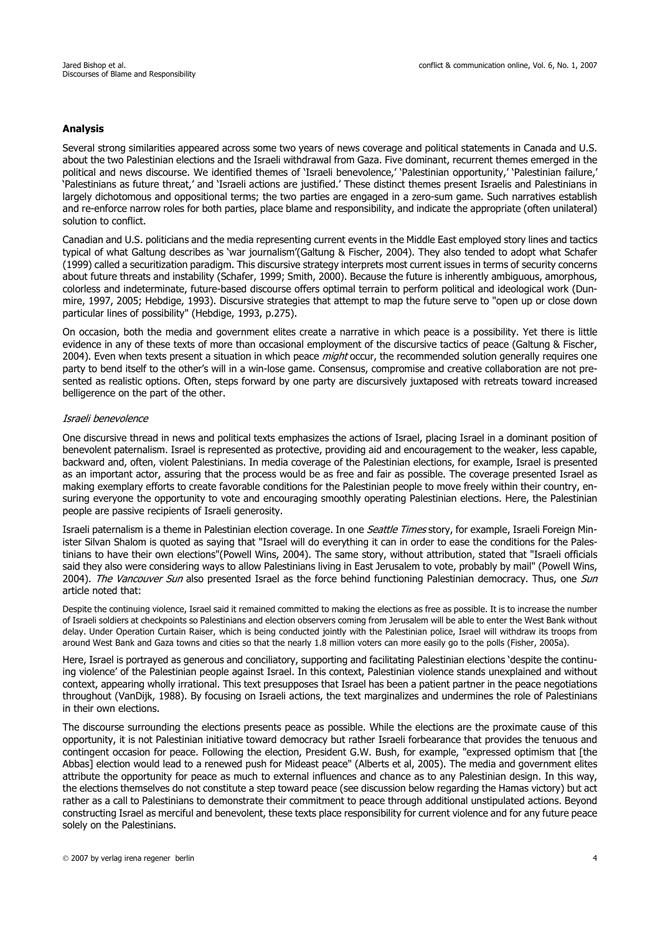# **Analysis**

Several strong similarities appeared across some two years of news coverage and political statements in Canada and U.S. about the two Palestinian elections and the Israeli withdrawal from Gaza. Five dominant, recurrent themes emerged in the political and news discourse. We identified themes of 'Israeli benevolence,' 'Palestinian opportunity,' 'Palestinian failure,' 'Palestinians as future threat,' and 'Israeli actions are justified.' These distinct themes present Israelis and Palestinians in largely dichotomous and oppositional terms; the two parties are engaged in a zero-sum game. Such narratives establish and re-enforce narrow roles for both parties, place blame and responsibility, and indicate the appropriate (often unilateral) solution to conflict.

Canadian and U.S. politicians and the media representing current events in the Middle East employed story lines and tactics typical of what Galtung describes as 'war journalism'(Galtung & Fischer, 2004). They also tended to adopt what Schafer (1999) called a securitization paradigm. This discursive strategy interprets most current issues in terms of security concerns about future threats and instability (Schafer, 1999; Smith, 2000). Because the future is inherently ambiguous, amorphous, colorless and indeterminate, future-based discourse offers optimal terrain to perform political and ideological work (Dunmire, 1997, 2005; Hebdige, 1993). Discursive strategies that attempt to map the future serve to "open up or close down particular lines of possibility" (Hebdige, 1993, p.275).

On occasion, both the media and government elites create a narrative in which peace is a possibility. Yet there is little evidence in any of these texts of more than occasional employment of the discursive tactics of peace (Galtung & Fischer, 2004). Even when texts present a situation in which peace *might* occur, the recommended solution generally requires one party to bend itself to the other's will in a win-lose game. Consensus, compromise and creative collaboration are not presented as realistic options. Often, steps forward by one party are discursively juxtaposed with retreats toward increased belligerence on the part of the other.

## Israeli benevolence

One discursive thread in news and political texts emphasizes the actions of Israel, placing Israel in a dominant position of benevolent paternalism. Israel is represented as protective, providing aid and encouragement to the weaker, less capable, backward and, often, violent Palestinians. In media coverage of the Palestinian elections, for example, Israel is presented as an important actor, assuring that the process would be as free and fair as possible. The coverage presented Israel as making exemplary efforts to create favorable conditions for the Palestinian people to move freely within their country, ensuring everyone the opportunity to vote and encouraging smoothly operating Palestinian elections. Here, the Palestinian people are passive recipients of Israeli generosity.

Israeli paternalism is a theme in Palestinian election coverage. In one Seattle Times story, for example, Israeli Foreign Minister Silvan Shalom is quoted as saying that "Israel will do everything it can in order to ease the conditions for the Palestinians to have their own elections"(Powell Wins, 2004). The same story, without attribution, stated that "Israeli officials said they also were considering ways to allow Palestinians living in East Jerusalem to vote, probably by mail" (Powell Wins, 2004). The Vancouver Sun also presented Israel as the force behind functioning Palestinian democracy. Thus, one Sun article noted that:

Despite the continuing violence, Israel said it remained committed to making the elections as free as possible. It is to increase the number of Israeli soldiers at checkpoints so Palestinians and election observers coming from Jerusalem will be able to enter the West Bank without delay. Under Operation Curtain Raiser, which is being conducted jointly with the Palestinian police, Israel will withdraw its troops from around West Bank and Gaza towns and cities so that the nearly 1.8 million voters can more easily go to the polls (Fisher, 2005a).

Here, Israel is portrayed as generous and conciliatory, supporting and facilitating Palestinian elections 'despite the continuing violence' of the Palestinian people against Israel. In this context, Palestinian violence stands unexplained and without context, appearing wholly irrational. This text presupposes that Israel has been a patient partner in the peace negotiations throughout (VanDijk, 1988). By focusing on Israeli actions, the text marginalizes and undermines the role of Palestinians in their own elections.

The discourse surrounding the elections presents peace as possible. While the elections are the proximate cause of this opportunity, it is not Palestinian initiative toward democracy but rather Israeli forbearance that provides the tenuous and contingent occasion for peace. Following the election, President G.W. Bush, for example, "expressed optimism that [the Abbas] election would lead to a renewed push for Mideast peace" (Alberts et al, 2005). The media and government elites attribute the opportunity for peace as much to external influences and chance as to any Palestinian design. In this way, the elections themselves do not constitute a step toward peace (see discussion below regarding the Hamas victory) but act rather as a call to Palestinians to demonstrate their commitment to peace through additional unstipulated actions. Beyond constructing Israel as merciful and benevolent, these texts place responsibility for current violence and for any future peace solely on the Palestinians.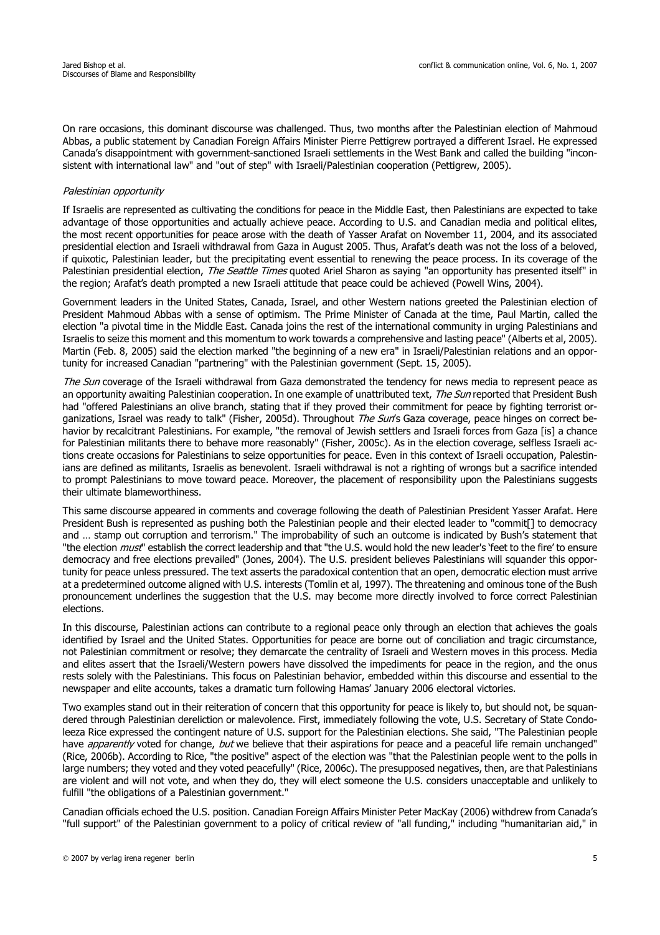On rare occasions, this dominant discourse was challenged. Thus, two months after the Palestinian election of Mahmoud Abbas, a public statement by Canadian Foreign Affairs Minister Pierre Pettigrew portrayed a different Israel. He expressed Canada's disappointment with government-sanctioned Israeli settlements in the West Bank and called the building "inconsistent with international law" and "out of step" with Israeli/Palestinian cooperation (Pettigrew, 2005).

## Palestinian opportunity

If Israelis are represented as cultivating the conditions for peace in the Middle East, then Palestinians are expected to take advantage of those opportunities and actually achieve peace. According to U.S. and Canadian media and political elites, the most recent opportunities for peace arose with the death of Yasser Arafat on November 11, 2004, and its associated presidential election and Israeli withdrawal from Gaza in August 2005. Thus, Arafat's death was not the loss of a beloved, if quixotic, Palestinian leader, but the precipitating event essential to renewing the peace process. In its coverage of the Palestinian presidential election, *The Seattle Times* quoted Ariel Sharon as saying "an opportunity has presented itself" in the region; Arafat's death prompted a new Israeli attitude that peace could be achieved (Powell Wins, 2004).

Government leaders in the United States, Canada, Israel, and other Western nations greeted the Palestinian election of President Mahmoud Abbas with a sense of optimism. The Prime Minister of Canada at the time, Paul Martin, called the election "a pivotal time in the Middle East. Canada joins the rest of the international community in urging Palestinians and Israelis to seize this moment and this momentum to work towards a comprehensive and lasting peace" (Alberts et al, 2005). Martin (Feb. 8, 2005) said the election marked "the beginning of a new era" in Israeli/Palestinian relations and an opportunity for increased Canadian "partnering" with the Palestinian government (Sept. 15, 2005).

The Sun coverage of the Israeli withdrawal from Gaza demonstrated the tendency for news media to represent peace as an opportunity awaiting Palestinian cooperation. In one example of unattributed text, The Sun reported that President Bush had "offered Palestinians an olive branch, stating that if they proved their commitment for peace by fighting terrorist organizations, Israel was ready to talk" (Fisher, 2005d). Throughout The Sun's Gaza coverage, peace hinges on correct behavior by recalcitrant Palestinians. For example, "the removal of Jewish settlers and Israeli forces from Gaza [is] a chance for Palestinian militants there to behave more reasonably" (Fisher, 2005c). As in the election coverage, selfless Israeli actions create occasions for Palestinians to seize opportunities for peace. Even in this context of Israeli occupation, Palestinians are defined as militants, Israelis as benevolent. Israeli withdrawal is not a righting of wrongs but a sacrifice intended to prompt Palestinians to move toward peace. Moreover, the placement of responsibility upon the Palestinians suggests their ultimate blameworthiness.

This same discourse appeared in comments and coverage following the death of Palestinian President Yasser Arafat. Here President Bush is represented as pushing both the Palestinian people and their elected leader to "commit[] to democracy and … stamp out corruption and terrorism." The improbability of such an outcome is indicated by Bush's statement that "the election *must*" establish the correct leadership and that "the U.S. would hold the new leader's 'feet to the fire' to ensure democracy and free elections prevailed" (Jones, 2004). The U.S. president believes Palestinians will squander this opportunity for peace unless pressured. The text asserts the paradoxical contention that an open, democratic election must arrive at a predetermined outcome aligned with U.S. interests (Tomlin et al, 1997). The threatening and ominous tone of the Bush pronouncement underlines the suggestion that the U.S. may become more directly involved to force correct Palestinian elections.

In this discourse, Palestinian actions can contribute to a regional peace only through an election that achieves the goals identified by Israel and the United States. Opportunities for peace are borne out of conciliation and tragic circumstance, not Palestinian commitment or resolve; they demarcate the centrality of Israeli and Western moves in this process. Media and elites assert that the Israeli/Western powers have dissolved the impediments for peace in the region, and the onus rests solely with the Palestinians. This focus on Palestinian behavior, embedded within this discourse and essential to the newspaper and elite accounts, takes a dramatic turn following Hamas' January 2006 electoral victories.

Two examples stand out in their reiteration of concern that this opportunity for peace is likely to, but should not, be squandered through Palestinian dereliction or malevolence. First, immediately following the vote, U.S. Secretary of State Condoleeza Rice expressed the contingent nature of U.S. support for the Palestinian elections. She said, "The Palestinian people have *apparently* voted for change, but we believe that their aspirations for peace and a peaceful life remain unchanged" (Rice, 2006b). According to Rice, "the positive" aspect of the election was "that the Palestinian people went to the polls in large numbers; they voted and they voted peacefully" (Rice, 2006c). The presupposed negatives, then, are that Palestinians are violent and will not vote, and when they do, they will elect someone the U.S. considers unacceptable and unlikely to fulfill "the obligations of a Palestinian government."

Canadian officials echoed the U.S. position. Canadian Foreign Affairs Minister Peter MacKay (2006) withdrew from Canada's "full support" of the Palestinian government to a policy of critical review of "all funding," including "humanitarian aid," in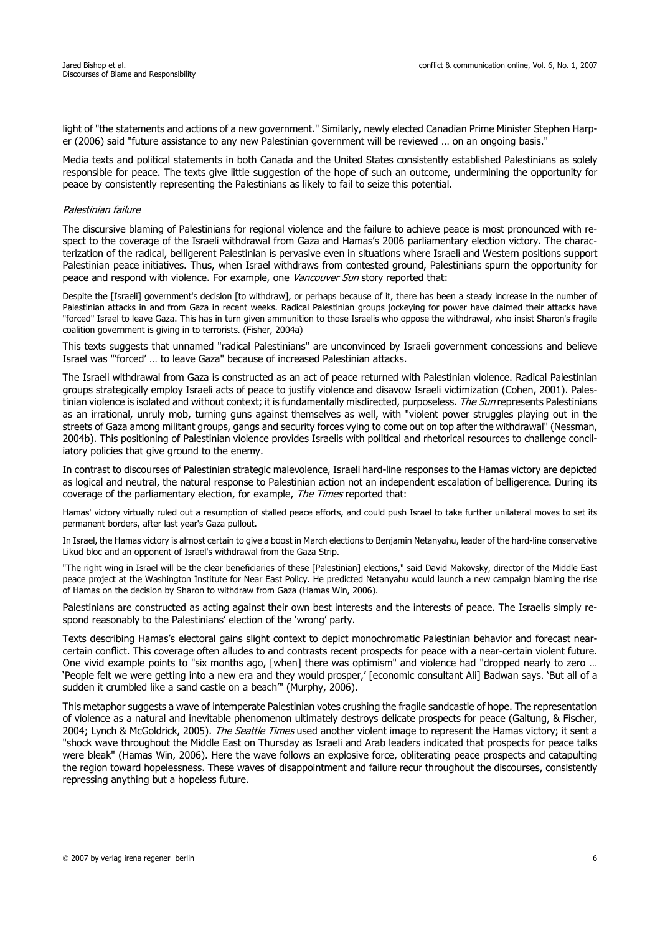light of "the statements and actions of a new government." Similarly, newly elected Canadian Prime Minister Stephen Harper (2006) said "future assistance to any new Palestinian government will be reviewed … on an ongoing basis."

Media texts and political statements in both Canada and the United States consistently established Palestinians as solely responsible for peace. The texts give little suggestion of the hope of such an outcome, undermining the opportunity for peace by consistently representing the Palestinians as likely to fail to seize this potential.

#### Palestinian failure

The discursive blaming of Palestinians for regional violence and the failure to achieve peace is most pronounced with respect to the coverage of the Israeli withdrawal from Gaza and Hamas's 2006 parliamentary election victory. The characterization of the radical, belligerent Palestinian is pervasive even in situations where Israeli and Western positions support Palestinian peace initiatives. Thus, when Israel withdraws from contested ground, Palestinians spurn the opportunity for peace and respond with violence. For example, one *Vancouver Sun* story reported that:

Despite the [Israeli] government's decision [to withdraw], or perhaps because of it, there has been a steady increase in the number of Palestinian attacks in and from Gaza in recent weeks. Radical Palestinian groups jockeying for power have claimed their attacks have "forced" Israel to leave Gaza. This has in turn given ammunition to those Israelis who oppose the withdrawal, who insist Sharon's fragile coalition government is giving in to terrorists. (Fisher, 2004a)

This texts suggests that unnamed "radical Palestinians" are unconvinced by Israeli government concessions and believe Israel was "'forced' … to leave Gaza" because of increased Palestinian attacks.

The Israeli withdrawal from Gaza is constructed as an act of peace returned with Palestinian violence. Radical Palestinian groups strategically employ Israeli acts of peace to justify violence and disavow Israeli victimization (Cohen, 2001). Palestinian violence is isolated and without context; it is fundamentally misdirected, purposeless. The Sun represents Palestinians as an irrational, unruly mob, turning guns against themselves as well, with "violent power struggles playing out in the streets of Gaza among militant groups, gangs and security forces vying to come out on top after the withdrawal" (Nessman, 2004b). This positioning of Palestinian violence provides Israelis with political and rhetorical resources to challenge conciliatory policies that give ground to the enemy.

In contrast to discourses of Palestinian strategic malevolence, Israeli hard-line responses to the Hamas victory are depicted as logical and neutral, the natural response to Palestinian action not an independent escalation of belligerence. During its coverage of the parliamentary election, for example, The Times reported that:

Hamas' victory virtually ruled out a resumption of stalled peace efforts, and could push Israel to take further unilateral moves to set its permanent borders, after last year's Gaza pullout.

In Israel, the Hamas victory is almost certain to give a boost in March elections to Benjamin Netanyahu, leader of the hard-line conservative Likud bloc and an opponent of Israel's withdrawal from the Gaza Strip.

"The right wing in Israel will be the clear beneficiaries of these [Palestinian] elections," said David Makovsky, director of the Middle East peace project at the Washington Institute for Near East Policy. He predicted Netanyahu would launch a new campaign blaming the rise of Hamas on the decision by Sharon to withdraw from Gaza (Hamas Win, 2006).

Palestinians are constructed as acting against their own best interests and the interests of peace. The Israelis simply respond reasonably to the Palestinians' election of the 'wrong' party.

Texts describing Hamas's electoral gains slight context to depict monochromatic Palestinian behavior and forecast nearcertain conflict. This coverage often alludes to and contrasts recent prospects for peace with a near-certain violent future. One vivid example points to "six months ago, [when] there was optimism" and violence had "dropped nearly to zero … 'People felt we were getting into a new era and they would prosper,' [economic consultant Ali] Badwan says. 'But all of a sudden it crumbled like a sand castle on a beach'" (Murphy, 2006).

This metaphor suggests a wave of intemperate Palestinian votes crushing the fragile sandcastle of hope. The representation of violence as a natural and inevitable phenomenon ultimately destroys delicate prospects for peace (Galtung, & Fischer, 2004; Lynch & McGoldrick, 2005). The Seattle Times used another violent image to represent the Hamas victory; it sent a "shock wave throughout the Middle East on Thursday as Israeli and Arab leaders indicated that prospects for peace talks were bleak" (Hamas Win, 2006). Here the wave follows an explosive force, obliterating peace prospects and catapulting the region toward hopelessness. These waves of disappointment and failure recur throughout the discourses, consistently repressing anything but a hopeless future.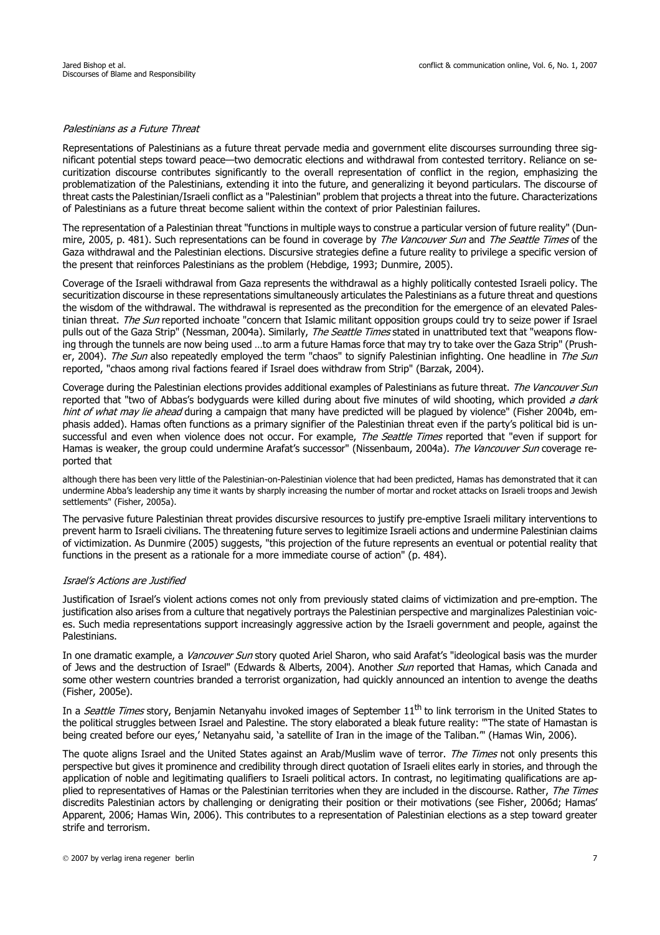# Palestinians as a Future Threat

Representations of Palestinians as a future threat pervade media and government elite discourses surrounding three significant potential steps toward peace—two democratic elections and withdrawal from contested territory. Reliance on securitization discourse contributes significantly to the overall representation of conflict in the region, emphasizing the problematization of the Palestinians, extending it into the future, and generalizing it beyond particulars. The discourse of threat casts the Palestinian/Israeli conflict as a "Palestinian" problem that projects a threat into the future. Characterizations of Palestinians as a future threat become salient within the context of prior Palestinian failures.

The representation of a Palestinian threat "functions in multiple ways to construe a particular version of future reality" (Dunmire, 2005, p. 481). Such representations can be found in coverage by The Vancouver Sun and The Seattle Times of the Gaza withdrawal and the Palestinian elections. Discursive strategies define a future reality to privilege a specific version of the present that reinforces Palestinians as the problem (Hebdige, 1993; Dunmire, 2005).

Coverage of the Israeli withdrawal from Gaza represents the withdrawal as a highly politically contested Israeli policy. The securitization discourse in these representations simultaneously articulates the Palestinians as a future threat and questions the wisdom of the withdrawal. The withdrawal is represented as the precondition for the emergence of an elevated Palestinian threat. The Sun reported inchoate "concern that Islamic militant opposition groups could try to seize power if Israel pulls out of the Gaza Strip" (Nessman, 2004a). Similarly, The Seattle Times stated in unattributed text that "weapons flowing through the tunnels are now being used …to arm a future Hamas force that may try to take over the Gaza Strip" (Prusher, 2004). The Sun also repeatedly employed the term "chaos" to signify Palestinian infighting. One headline in The Sun reported, "chaos among rival factions feared if Israel does withdraw from Strip" (Barzak, 2004).

Coverage during the Palestinian elections provides additional examples of Palestinians as future threat. The Vancouver Sun reported that "two of Abbas's bodyguards were killed during about five minutes of wild shooting, which provided a dark hint of what may lie ahead during a campaign that many have predicted will be plagued by violence" (Fisher 2004b, emphasis added). Hamas often functions as a primary signifier of the Palestinian threat even if the party's political bid is unsuccessful and even when violence does not occur. For example, The Seattle Times reported that "even if support for Hamas is weaker, the group could undermine Arafat's successor" (Nissenbaum, 2004a). The Vancouver Sun coverage reported that

although there has been very little of the Palestinian-on-Palestinian violence that had been predicted, Hamas has demonstrated that it can undermine Abba's leadership any time it wants by sharply increasing the number of mortar and rocket attacks on Israeli troops and Jewish settlements" (Fisher, 2005a).

The pervasive future Palestinian threat provides discursive resources to justify pre-emptive Israeli military interventions to prevent harm to Israeli civilians. The threatening future serves to legitimize Israeli actions and undermine Palestinian claims of victimization. As Dunmire (2005) suggests, "this projection of the future represents an eventual or potential reality that functions in the present as a rationale for a more immediate course of action" (p. 484).

#### Israel's Actions are Justified

Justification of Israel's violent actions comes not only from previously stated claims of victimization and pre-emption. The justification also arises from a culture that negatively portrays the Palestinian perspective and marginalizes Palestinian voices. Such media representations support increasingly aggressive action by the Israeli government and people, against the Palestinians.

In one dramatic example, a *Vancouver Sun* story quoted Ariel Sharon, who said Arafat's "ideological basis was the murder of Jews and the destruction of Israel" (Edwards & Alberts, 2004). Another Sun reported that Hamas, which Canada and some other western countries branded a terrorist organization, had quickly announced an intention to avenge the deaths (Fisher, 2005e).

In a Seattle Times story, Benjamin Netanyahu invoked images of September 11<sup>th</sup> to link terrorism in the United States to the political struggles between Israel and Palestine. The story elaborated a bleak future reality: "'The state of Hamastan is being created before our eyes,' Netanyahu said, 'a satellite of Iran in the image of the Taliban.'" (Hamas Win, 2006).

The quote aligns Israel and the United States against an Arab/Muslim wave of terror. The Times not only presents this perspective but gives it prominence and credibility through direct quotation of Israeli elites early in stories, and through the application of noble and legitimating qualifiers to Israeli political actors. In contrast, no legitimating qualifications are applied to representatives of Hamas or the Palestinian territories when they are included in the discourse. Rather, The Times discredits Palestinian actors by challenging or denigrating their position or their motivations (see Fisher, 2006d; Hamas' Apparent, 2006; Hamas Win, 2006). This contributes to a representation of Palestinian elections as a step toward greater strife and terrorism.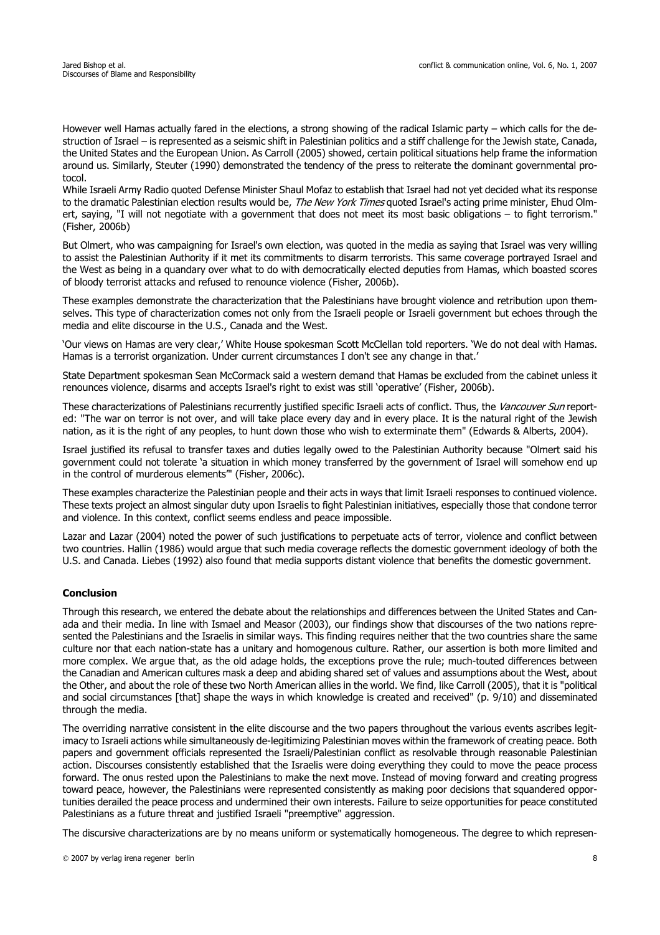However well Hamas actually fared in the elections, a strong showing of the radical Islamic party – which calls for the destruction of Israel – is represented as a seismic shift in Palestinian politics and a stiff challenge for the Jewish state, Canada, the United States and the European Union. As Carroll (2005) showed, certain political situations help frame the information around us. Similarly, Steuter (1990) demonstrated the tendency of the press to reiterate the dominant governmental protocol.

While Israeli Army Radio quoted Defense Minister Shaul Mofaz to establish that Israel had not yet decided what its response to the dramatic Palestinian election results would be, *The New York Times* quoted Israel's acting prime minister, Ehud Olmert, saying, "I will not negotiate with a government that does not meet its most basic obligations – to fight terrorism." (Fisher, 2006b)

But Olmert, who was campaigning for Israel's own election, was quoted in the media as saying that Israel was very willing to assist the Palestinian Authority if it met its commitments to disarm terrorists. This same coverage portrayed Israel and the West as being in a quandary over what to do with democratically elected deputies from Hamas, which boasted scores of bloody terrorist attacks and refused to renounce violence (Fisher, 2006b).

These examples demonstrate the characterization that the Palestinians have brought violence and retribution upon themselves. This type of characterization comes not only from the Israeli people or Israeli government but echoes through the media and elite discourse in the U.S., Canada and the West.

'Our views on Hamas are very clear,' White House spokesman Scott McClellan told reporters. 'We do not deal with Hamas. Hamas is a terrorist organization. Under current circumstances I don't see any change in that.'

State Department spokesman Sean McCormack said a western demand that Hamas be excluded from the cabinet unless it renounces violence, disarms and accepts Israel's right to exist was still 'operative' (Fisher, 2006b).

These characterizations of Palestinians recurrently justified specific Israeli acts of conflict. Thus, the Vancouver Sun reported: "The war on terror is not over, and will take place every day and in every place. It is the natural right of the Jewish nation, as it is the right of any peoples, to hunt down those who wish to exterminate them" (Edwards & Alberts, 2004).

Israel justified its refusal to transfer taxes and duties legally owed to the Palestinian Authority because "Olmert said his government could not tolerate 'a situation in which money transferred by the government of Israel will somehow end up in the control of murderous elements'" (Fisher, 2006c).

These examples characterize the Palestinian people and their acts in ways that limit Israeli responses to continued violence. These texts project an almost singular duty upon Israelis to fight Palestinian initiatives, especially those that condone terror and violence. In this context, conflict seems endless and peace impossible.

Lazar and Lazar (2004) noted the power of such justifications to perpetuate acts of terror, violence and conflict between two countries. Hallin (1986) would argue that such media coverage reflects the domestic government ideology of both the U.S. and Canada. Liebes (1992) also found that media supports distant violence that benefits the domestic government.

# **Conclusion**

Through this research, we entered the debate about the relationships and differences between the United States and Canada and their media. In line with Ismael and Measor (2003), our findings show that discourses of the two nations represented the Palestinians and the Israelis in similar ways. This finding requires neither that the two countries share the same culture nor that each nation-state has a unitary and homogenous culture. Rather, our assertion is both more limited and more complex. We argue that, as the old adage holds, the exceptions prove the rule; much-touted differences between the Canadian and American cultures mask a deep and abiding shared set of values and assumptions about the West, about the Other, and about the role of these two North American allies in the world. We find, like Carroll (2005), that it is "political and social circumstances [that] shape the ways in which knowledge is created and received" (p. 9/10) and disseminated through the media.

The overriding narrative consistent in the elite discourse and the two papers throughout the various events ascribes legitimacy to Israeli actions while simultaneously de-legitimizing Palestinian moves within the framework of creating peace. Both papers and government officials represented the Israeli/Palestinian conflict as resolvable through reasonable Palestinian action. Discourses consistently established that the Israelis were doing everything they could to move the peace process forward. The onus rested upon the Palestinians to make the next move. Instead of moving forward and creating progress toward peace, however, the Palestinians were represented consistently as making poor decisions that squandered opportunities derailed the peace process and undermined their own interests. Failure to seize opportunities for peace constituted Palestinians as a future threat and justified Israeli "preemptive" aggression.

The discursive characterizations are by no means uniform or systematically homogeneous. The degree to which represen-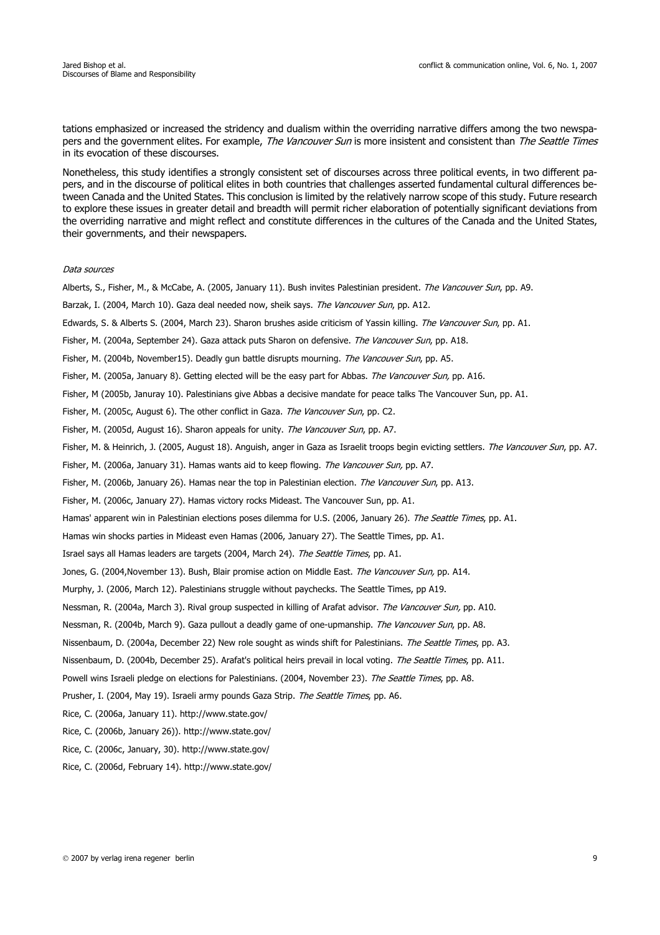tations emphasized or increased the stridency and dualism within the overriding narrative differs among the two newspapers and the government elites. For example, The Vancouver Sun is more insistent and consistent than The Seattle Times in its evocation of these discourses.

Nonetheless, this study identifies a strongly consistent set of discourses across three political events, in two different papers, and in the discourse of political elites in both countries that challenges asserted fundamental cultural differences between Canada and the United States. This conclusion is limited by the relatively narrow scope of this study. Future research to explore these issues in greater detail and breadth will permit richer elaboration of potentially significant deviations from the overriding narrative and might reflect and constitute differences in the cultures of the Canada and the United States, their governments, and their newspapers.

#### Data sources

Alberts, S., Fisher, M., & McCabe, A. (2005, January 11). Bush invites Palestinian president. The Vancouver Sun, pp. A9. Barzak, I. (2004, March 10). Gaza deal needed now, sheik says. The Vancouver Sun, pp. A12. Edwards, S. & Alberts S. (2004, March 23). Sharon brushes aside criticism of Yassin killing. The Vancouver Sun, pp. A1. Fisher, M. (2004a, September 24). Gaza attack puts Sharon on defensive. The Vancouver Sun, pp. A18. Fisher, M. (2004b, November15). Deadly gun battle disrupts mourning. The Vancouver Sun, pp. A5. Fisher, M. (2005a, January 8). Getting elected will be the easy part for Abbas. The Vancouver Sun, pp. A16. Fisher, M (2005b, Januray 10). Palestinians give Abbas a decisive mandate for peace talks The Vancouver Sun, pp. A1. Fisher, M. (2005c, August 6). The other conflict in Gaza. The Vancouver Sun, pp. C2. Fisher, M. (2005d, August 16). Sharon appeals for unity. The Vancouver Sun, pp. A7. Fisher, M. & Heinrich, J. (2005, August 18). Anguish, anger in Gaza as Israelit troops begin evicting settlers. The Vancouver Sun, pp. A7. Fisher, M. (2006a, January 31). Hamas wants aid to keep flowing. The Vancouver Sun, pp. A7. Fisher, M. (2006b, January 26). Hamas near the top in Palestinian election. The Vancouver Sun, pp. A13. Fisher, M. (2006c, January 27). Hamas victory rocks Mideast. The Vancouver Sun, pp. A1. Hamas' apparent win in Palestinian elections poses dilemma for U.S. (2006, January 26). The Seattle Times, pp. A1. Hamas win shocks parties in Mideast even Hamas (2006, January 27). The Seattle Times, pp. A1. Israel says all Hamas leaders are targets (2004, March 24). The Seattle Times, pp. A1. Jones, G. (2004, November 13). Bush, Blair promise action on Middle East. The Vancouver Sun, pp. A14. Murphy, J. (2006, March 12). Palestinians struggle without paychecks. The Seattle Times, pp A19. Nessman, R. (2004a, March 3). Rival group suspected in killing of Arafat advisor. The Vancouver Sun, pp. A10. Nessman, R. (2004b, March 9). Gaza pullout a deadly game of one-upmanship. The Vancouver Sun, pp. A8. Nissenbaum, D. (2004a, December 22) New role sought as winds shift for Palestinians. The Seattle Times, pp. A3. Nissenbaum, D. (2004b, December 25). Arafat's political heirs prevail in local voting. The Seattle Times, pp. A11. Powell wins Israeli pledge on elections for Palestinians. (2004, November 23). The Seattle Times, pp. A8. Prusher, I. (2004, May 19). Israeli army pounds Gaza Strip. The Seattle Times, pp. A6. Rice, C. (2006a, January 11). http://www.state.gov/ Rice, C. (2006b, January 26)). http://www.state.gov/

Rice, C. (2006c, January, 30). http://www.state.gov/

Rice, C. (2006d, February 14). http://www.state.gov/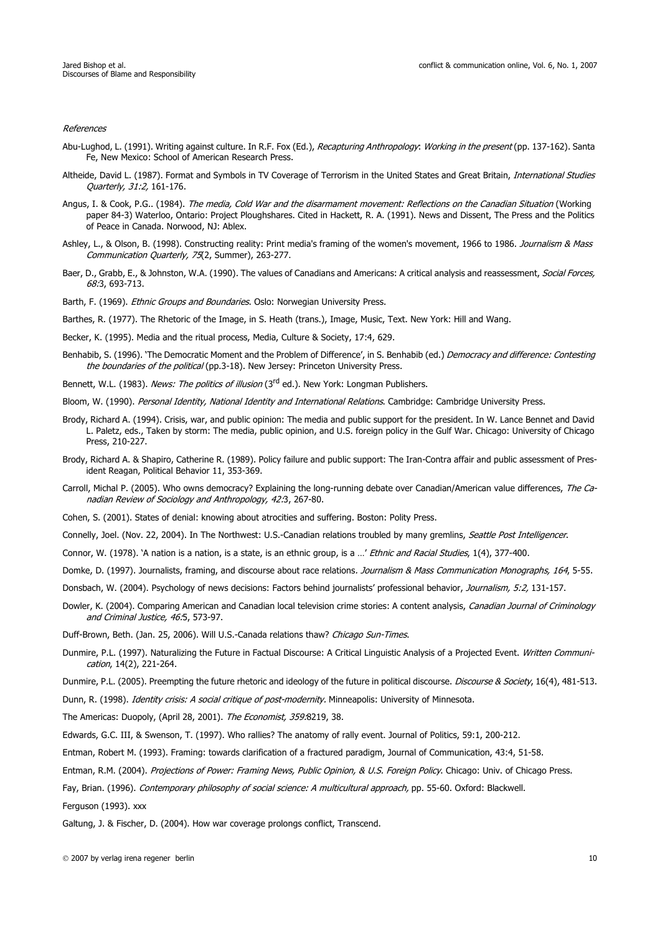References

- Abu-Lughod, L. (1991). Writing against culture. In R.F. Fox (Ed.), Recapturing Anthropology: Working in the present (pp. 137-162). Santa Fe, New Mexico: School of American Research Press.
- Altheide, David L. (1987). Format and Symbols in TV Coverage of Terrorism in the United States and Great Britain, International Studies Quarterly, 31:2, 161-176.
- Angus, I. & Cook, P.G.. (1984). The media, Cold War and the disarmament movement: Reflections on the Canadian Situation (Working paper 84-3) Waterloo, Ontario: Project Ploughshares. Cited in Hackett, R. A. (1991). News and Dissent, The Press and the Politics of Peace in Canada. Norwood, NJ: Ablex.
- Ashley, L., & Olson, B. (1998). Constructing reality: Print media's framing of the women's movement, 1966 to 1986. Journalism & Mass Communication Quarterly, 75(2, Summer), 263-277.
- Baer, D., Grabb, E., & Johnston, W.A. (1990). The values of Canadians and Americans: A critical analysis and reassessment, Social Forces, 68:3, 693-713.
- Barth, F. (1969). Ethnic Groups and Boundaries. Oslo: Norwegian University Press.
- Barthes, R. (1977). The Rhetoric of the Image, in S. Heath (trans.), Image, Music, Text. New York: Hill and Wang.
- Becker, K. (1995). Media and the ritual process, Media, Culture & Society, 17:4, 629.
- Benhabib, S. (1996). 'The Democratic Moment and the Problem of Difference', in S. Benhabib (ed.) Democracy and difference: Contesting the boundaries of the political (pp.3-18). New Jersey: Princeton University Press.
- Bennett, W.L. (1983). News: The politics of illusion (3<sup>rd</sup> ed.). New York: Longman Publishers.
- Bloom, W. (1990). Personal Identity, National Identity and International Relations. Cambridge: Cambridge University Press.
- Brody, Richard A. (1994). Crisis, war, and public opinion: The media and public support for the president. In W. Lance Bennet and David L. Paletz, eds., Taken by storm: The media, public opinion, and U.S. foreign policy in the Gulf War. Chicago: University of Chicago Press, 210-227.
- Brody, Richard A. & Shapiro, Catherine R. (1989). Policy failure and public support: The Iran-Contra affair and public assessment of President Reagan, Political Behavior 11, 353-369.
- Carroll, Michal P. (2005). Who owns democracy? Explaining the long-running debate over Canadian/American value differences, The Canadian Review of Sociology and Anthropology, 42:3, 267-80.
- Cohen, S. (2001). States of denial: knowing about atrocities and suffering. Boston: Polity Press.
- Connelly, Joel. (Nov. 22, 2004). In The Northwest: U.S.-Canadian relations troubled by many gremlins, Seattle Post Intelligencer.
- Connor, W. (1978). 'A nation is a nation, is a state, is an ethnic group, is a ...' Ethnic and Racial Studies, 1(4), 377-400.
- Domke, D. (1997). Journalists, framing, and discourse about race relations. Journalism & Mass Communication Monographs, 164, 5-55.
- Donsbach, W. (2004). Psychology of news decisions: Factors behind journalists' professional behavior, Journalism, 5:2, 131-157.
- Dowler, K. (2004). Comparing American and Canadian local television crime stories: A content analysis, Canadian Journal of Criminology and Criminal Justice, 46:5, 573-97.
- Duff-Brown, Beth. (Jan. 25, 2006). Will U.S.-Canada relations thaw? Chicago Sun-Times.
- Dunmire, P.L. (1997). Naturalizing the Future in Factual Discourse: A Critical Linguistic Analysis of a Projected Event. Written Communication, 14(2), 221-264.
- Dunmire, P.L. (2005). Preempting the future rhetoric and ideology of the future in political discourse. Discourse & Society, 16(4), 481-513.
- Dunn, R. (1998). *Identity crisis: A social critique of post-modernity*. Minneapolis: University of Minnesota.

The Americas: Duopoly, (April 28, 2001). The Economist, 359:8219, 38.

- Edwards, G.C. III, & Swenson, T. (1997). Who rallies? The anatomy of rally event. Journal of Politics, 59:1, 200-212.
- Entman, Robert M. (1993). Framing: towards clarification of a fractured paradigm, Journal of Communication, 43:4, 51-58.
- Entman, R.M. (2004). Projections of Power: Framing News, Public Opinion, & U.S. Foreign Policy. Chicago: Univ. of Chicago Press.
- Fay, Brian. (1996). Contemporary philosophy of social science: A multicultural approach, pp. 55-60. Oxford: Blackwell.

Ferguson (1993). xxx

Galtung, J. & Fischer, D. (2004). How war coverage prolongs conflict, Transcend.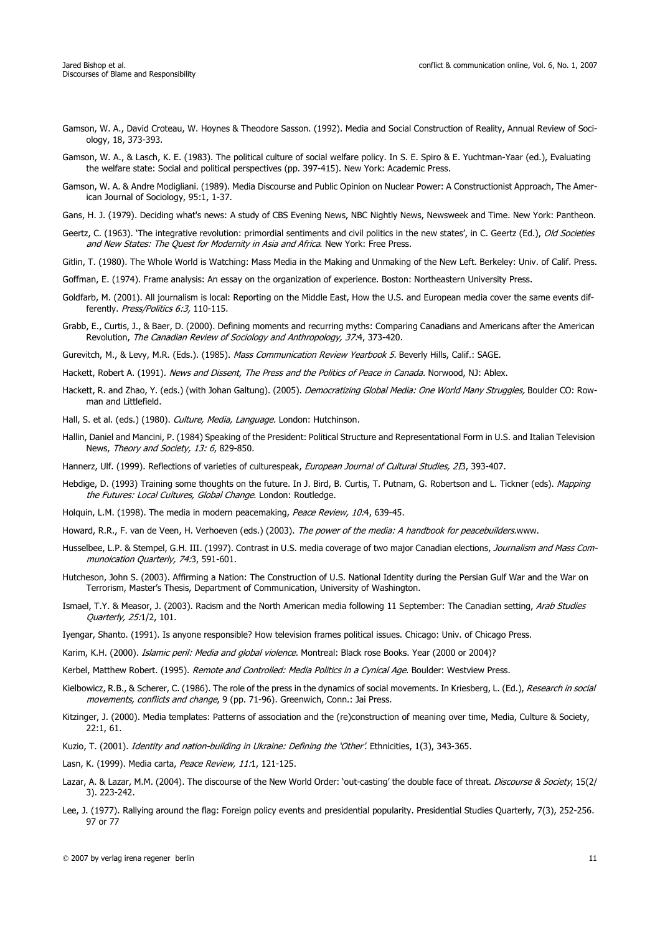- Gamson, W. A., David Croteau, W. Hoynes & Theodore Sasson. (1992). Media and Social Construction of Reality, Annual Review of Sociology, 18, 373-393.
- Gamson, W. A., & Lasch, K. E. (1983). The political culture of social welfare policy. In S. E. Spiro & E. Yuchtman-Yaar (ed.), Evaluating the welfare state: Social and political perspectives (pp. 397-415). New York: Academic Press.
- Gamson, W. A. & Andre Modigliani. (1989). Media Discourse and Public Opinion on Nuclear Power: A Constructionist Approach, The American Journal of Sociology, 95:1, 1-37.
- Gans, H. J. (1979). Deciding what's news: A study of CBS Evening News, NBC Nightly News, Newsweek and Time. New York: Pantheon.
- Geertz, C. (1963). 'The integrative revolution: primordial sentiments and civil politics in the new states', in C. Geertz (Ed.), Old Societies and New States: The Quest for Modernity in Asia and Africa. New York: Free Press.

Gitlin, T. (1980). The Whole World is Watching: Mass Media in the Making and Unmaking of the New Left. Berkeley: Univ. of Calif. Press.

- Goffman, E. (1974). Frame analysis: An essay on the organization of experience. Boston: Northeastern University Press.
- Goldfarb, M. (2001). All journalism is local: Reporting on the Middle East, How the U.S. and European media cover the same events differently. Press/Politics 6:3, 110-115.
- Grabb, E., Curtis, J., & Baer, D. (2000). Defining moments and recurring myths: Comparing Canadians and Americans after the American Revolution, The Canadian Review of Sociology and Anthropology, 37:4, 373-420.
- Gurevitch, M., & Levy, M.R. (Eds.). (1985). Mass Communication Review Yearbook 5. Beverly Hills, Calif.: SAGE.
- Hackett, Robert A. (1991). News and Dissent, The Press and the Politics of Peace in Canada. Norwood, NJ: Ablex.
- Hackett, R. and Zhao, Y. (eds.) (with Johan Galtung). (2005). Democratizing Global Media: One World Many Struggles, Boulder CO: Rowman and Littlefield.
- Hall, S. et al. (eds.) (1980). Culture, Media, Language. London: Hutchinson.
- Hallin, Daniel and Mancini, P. (1984) Speaking of the President: Political Structure and Representational Form in U.S. and Italian Television News, Theory and Society, 13: 6, 829-850.

Hannerz, Ulf. (1999). Reflections of varieties of culturespeak, European Journal of Cultural Studies, 2I3, 393-407.

- Hebdige, D. (1993) Training some thoughts on the future. In J. Bird, B. Curtis, T. Putnam, G. Robertson and L. Tickner (eds). *Mapping* the Futures: Local Cultures, Global Change. London: Routledge.
- Holquin, L.M. (1998). The media in modern peacemaking, Peace Review, 10:4, 639-45.
- Howard, R.R., F. van de Veen, H. Verhoeven (eds.) (2003). The power of the media: A handbook for peacebuilders.www.
- Husselbee, L.P. & Stempel, G.H. III. (1997). Contrast in U.S. media coverage of two major Canadian elections, Journalism and Mass Communoication Quarterly, 74:3, 591-601.
- Hutcheson, John S. (2003). Affirming a Nation: The Construction of U.S. National Identity during the Persian Gulf War and the War on Terrorism, Master's Thesis, Department of Communication, University of Washington.
- Ismael, T.Y. & Measor, J. (2003). Racism and the North American media following 11 September: The Canadian setting, Arab Studies Quarterly, 25:1/2, 101.
- Iyengar, Shanto. (1991). Is anyone responsible? How television frames political issues. Chicago: Univ. of Chicago Press.
- Karim, K.H. (2000). Islamic peril: Media and global violence. Montreal: Black rose Books. Year (2000 or 2004)?
- Kerbel, Matthew Robert. (1995). Remote and Controlled: Media Politics in a Cynical Age. Boulder: Westview Press.
- Kielbowicz, R.B., & Scherer, C. (1986). The role of the press in the dynamics of social movements. In Kriesberg, L. (Ed.), Research in social movements, conflicts and change, 9 (pp. 71-96). Greenwich, Conn.: Jai Press.
- Kitzinger, J. (2000). Media templates: Patterns of association and the (re)construction of meaning over time, Media, Culture & Society, 22:1, 61.
- Kuzio, T. (2001). Identity and nation-building in Ukraine: Defining the 'Other'. Ethnicities, 1(3), 343-365.
- Lasn, K. (1999). Media carta, Peace Review, 11:1, 121-125.
- Lazar, A. & Lazar, M.M. (2004). The discourse of the New World Order: 'out-casting' the double face of threat. Discourse & Society, 15(2/ 3). 223-242.
- Lee, J. (1977). Rallying around the flag: Foreign policy events and presidential popularity. Presidential Studies Quarterly, 7(3), 252-256. 97 or 77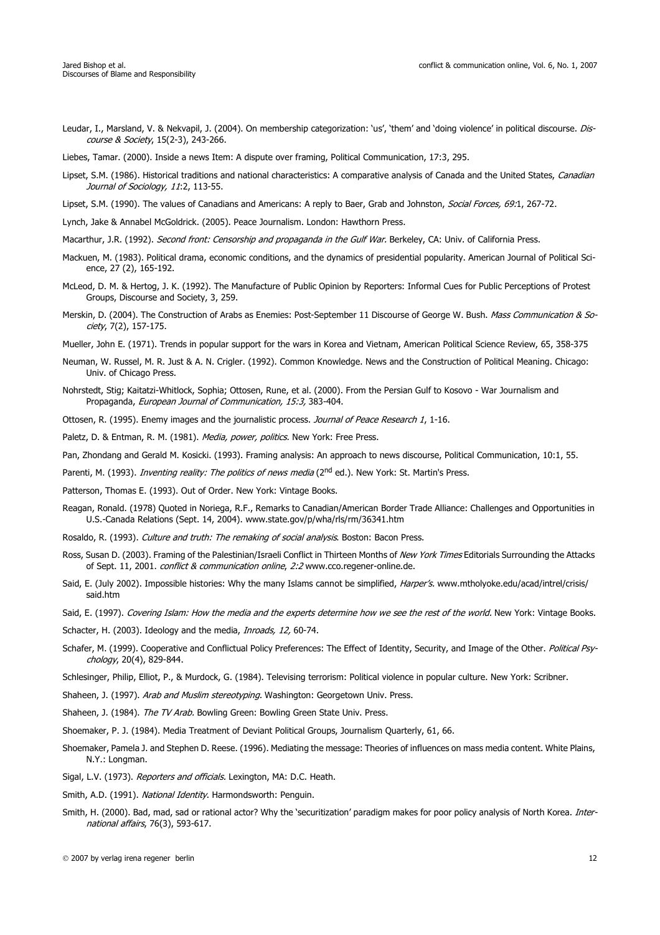- Leudar, I., Marsland, V. & Nekvapil, J. (2004). On membership categorization: 'us', 'them' and 'doing violence' in political discourse. Discourse & Society, 15(2-3), 243-266.
- Liebes, Tamar. (2000). Inside a news Item: A dispute over framing, Political Communication, 17:3, 295.
- Lipset, S.M. (1986). Historical traditions and national characteristics: A comparative analysis of Canada and the United States, Canadian Journal of Sociology, 11:2, 113-55.
- Lipset, S.M. (1990). The values of Canadians and Americans: A reply to Baer, Grab and Johnston, Social Forces, 69:1, 267-72.
- Lynch, Jake & Annabel McGoldrick. (2005). Peace Journalism. London: Hawthorn Press.
- Macarthur, J.R. (1992). Second front: Censorship and propaganda in the Gulf War. Berkeley, CA: Univ. of California Press.
- Mackuen, M. (1983). Political drama, economic conditions, and the dynamics of presidential popularity. American Journal of Political Science, 27 (2), 165-192.
- McLeod, D. M. & Hertog, J. K. (1992). The Manufacture of Public Opinion by Reporters: Informal Cues for Public Perceptions of Protest Groups, Discourse and Society, 3, 259.
- Merskin, D. (2004). The Construction of Arabs as Enemies: Post-September 11 Discourse of George W. Bush. Mass Communication & Society, 7(2), 157-175.
- Mueller, John E. (1971). Trends in popular support for the wars in Korea and Vietnam, American Political Science Review, 65, 358-375
- Neuman, W. Russel, M. R. Just & A. N. Crigler. (1992). Common Knowledge. News and the Construction of Political Meaning. Chicago: Univ. of Chicago Press.
- Nohrstedt, Stig; Kaitatzi-Whitlock, Sophia; Ottosen, Rune, et al. (2000). From the Persian Gulf to Kosovo War Journalism and Propaganda, European Journal of Communication, 15:3, 383-404.
- Ottosen, R. (1995). Enemy images and the journalistic process. Journal of Peace Research 1, 1-16.
- Paletz, D. & Entman, R. M. (1981). Media, power, politics. New York: Free Press.

Pan, Zhondang and Gerald M. Kosicki. (1993). Framing analysis: An approach to news discourse, Political Communication, 10:1, 55.

- Parenti, M. (1993). *Inventing reality: The politics of news media* (2<sup>nd</sup> ed.). New York: St. Martin's Press.
- Patterson, Thomas E. (1993). Out of Order. New York: Vintage Books.
- Reagan, Ronald. (1978) Quoted in Noriega, R.F., Remarks to Canadian/American Border Trade Alliance: Challenges and Opportunities in U.S.-Canada Relations (Sept. 14, 2004). www.state.gov/p/wha/rls/rm/36341.htm
- Rosaldo, R. (1993). Culture and truth: The remaking of social analysis. Boston: Bacon Press.
- Ross, Susan D. (2003). Framing of the Palestinian/Israeli Conflict in Thirteen Months of New York Times Editorials Surrounding the Attacks of Sept. 11, 2001. conflict & communication online, 2:2 www.cco.regener-online.de.
- Said, E. (July 2002). Impossible histories: Why the many Islams cannot be simplified, Harper's. www.mtholyoke.edu/acad/intrel/crisis/ said.htm
- Said, E. (1997). Covering Islam: How the media and the experts determine how we see the rest of the world. New York: Vintage Books.
- Schacter, H. (2003). Ideology and the media, *Inroads, 12*, 60-74.
- Schafer, M. (1999). Cooperative and Conflictual Policy Preferences: The Effect of Identity, Security, and Image of the Other. Political Psychology, 20(4), 829-844.
- Schlesinger, Philip, Elliot, P., & Murdock, G. (1984). Televising terrorism: Political violence in popular culture. New York: Scribner.
- Shaheen, J. (1997). Arab and Muslim stereotyping. Washington: Georgetown Univ. Press.
- Shaheen, J. (1984). The TV Arab. Bowling Green: Bowling Green State Univ. Press.
- Shoemaker, P. J. (1984). Media Treatment of Deviant Political Groups, Journalism Quarterly, 61, 66.
- Shoemaker, Pamela J. and Stephen D. Reese. (1996). Mediating the message: Theories of influences on mass media content. White Plains, N.Y.: Longman.
- Sigal, L.V. (1973). Reporters and officials. Lexington, MA: D.C. Heath.
- Smith, A.D. (1991). National Identity. Harmondsworth: Penguin.
- Smith, H. (2000). Bad, mad, sad or rational actor? Why the 'securitization' paradigm makes for poor policy analysis of North Korea. *Inter*national affairs, 76(3), 593-617.